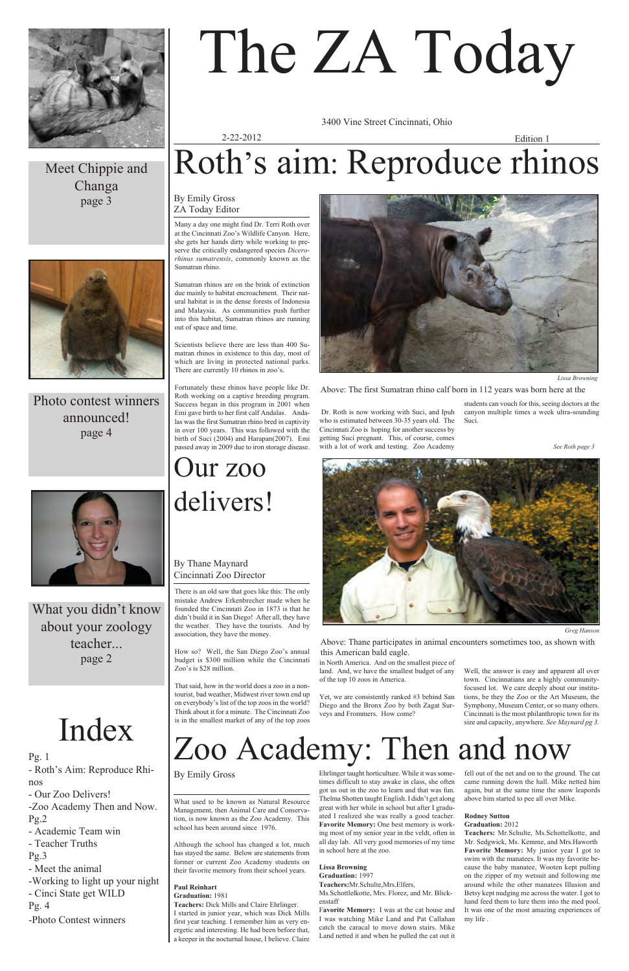There is an old saw that goes like this: The only mistake Andrew Erkenbrecher made when he founded the Cincinnati Zoo in 1873 is that he didn't build it in San Diego! After all, they have the weather. They have the tourists. And by association, they have the money.

How so? Well, the San Diego Zoo's annual budget is \$300 million while the Cincinnati Zoo's is \$28 million.

That said, how in the world does a zoo in a nontourist, bad weather, Midwest river town end up on everybody's list of the top zoos in the world? Think about it for a minute. The Cincinnati Zoo is in the smallest market of any of the top zoos

in North America. And on the smallest piece of land. And, we have the smallest budget of any of the top 10 zoos in America.

Yet, we are consistently ranked #3 behind San Diego and the Bronx Zoo by both Zagat Sur-

veys and Frommers. How come?

## Index Zoo Academy: Then and now Independently, anywhere. See Mayn

Well, the answer is easy and apparent all over town. Cincinnatians are a highly communityfocused lot. We care deeply about our institutions, be they the Zoo or the Art Museum, the Symphony, Museum Center, or so many others. Cincinnati is the most philanthropic town for its size and capacity, anywhere. *See Maynard pg 3.*

Many a day one might find Dr. Terri Roth over at the Cincinnati Zoo's Wildlife Canyon. Here, she gets her hands dirty while working to preserve the critically endangered species *Dicerorhinus sumatrensis*, commonly known as the Sumatran rhino.

Sumatran rhinos are on the brink of extinction due mainly to habitat encroachment. Their natural habitat is in the dense forests of Indonesia and Malaysia. As communities push further into this habitat, Sumatran rhinos are running out of space and time.

Scientists believe there are less than 400 Sumatran rhinos in existence to this day, most of which are living in protected national parks. There are currently 10 rhinos in zoo's.

Fortunately these rhinos have people like Dr. Roth working on a captive breeding program. Success began in this program in 2001 when Emi gave birth to her first calf Andalas. Andalas was the first Sumatran rhino bred in captivity in over 100 years. This was followed with the birth of Suci (2004) and Harapan(2007). Emi passed away in 2009 due to iron storage disease.

Dr. Roth is now working with Suci, and Ipuh who is estimated between 30-35 years old. The Cincinnati Zoo is hoping for another success by getting Suci pregnant. This, of course, comes with a lot of work and testing. Zoo Academy

students can vouch for this, seeing doctors at the canyon multiple times a week ultra-sounding Suci.

*See Roth page 3*

3400 Vine Street Cincinnati, Ohio

2-22-2012





*Greg Hanson*

Above: The first Sumatran rhino calf born in 112 years was born here at the

### Edition 1 Roth's aim: Reproduce rhinos

Above: Thane participates in animal encounters sometimes too, as shown with this American bald eagle.

### Our zoo delivers!

#### By Emily Gross ZA Today Editor

#### By Thane Maynard Cincinnati Zoo Director

What used to be known as Natural Resource Management, then Animal Care and Conservation, is now known as the Zoo Academy. This school has been around since 1976.

Although the school has changed a lot, much has stayed the same. Below are statements from former or current Zoo Academy students on their favorite memory from their school years.

#### **Paul Reinhart**

**Graduation:** 1981

**Teachers:** Dick Mills and Claire Ehrlinger.

I started in junior year, which was Dick Mills first year teaching. I remember him as very energetic and interesting. He had been before that, a keeper in the nocturnal house, I believe. Claire

Ehrlinger taught horticulture. While it was sometimes difficult to stay awake in class, she often got us out in the zoo to learn and that was fun. Thelma Shotten taught English. I didn't get along great with her while in school but after I graduated I realized she was really a good teacher. **Favorite Memory:** One best memory is working most of my senior year in the veldt, often in all day lab. All very good memories of my time in school here at the zoo.

#### **Lissa Browning Graduation:** 1997

**Teachers:**Mr.Schulte,Mrs.Elfers, Ms.Schottlelkotte, Mrs. Florez, and Mr. Blickenstaff

F**avorite Memory:** I was at the cat house and I was watching Mike Land and Pat Callahan catch the caracal to move down stairs. Mike Land netted it and when he pulled the cat out it

fell out of the net and on to the ground. The cat came running down the hall. Mike netted him again, but at the same time the snow leapords above him started to pee all over Mike.

#### **Rodney Sutton**

#### **Graduation:** 2012

**Teachers:** Mr.Schulte, Ms.Schottelkotte, and Mr. Sedgwick, Ms. Kemme, and Mrs.Haworth **Favorite Memory:** My junior year I got to swim with the manatees. It was my favorite because the baby manatee, Wooten kept pulling on the zipper of my wetsuit and following me around while the other manatees Illusion and Betsy kept nudging me across the water. I got to hand feed them to lure them into the med pool. It was one of the most amazing experiences of my life .

By Emily Gross



### Meet Chippie and Changa page 3



Photo contest winners announced! page 4



What you didn't know about your zoology teacher... page 2

# The ZA Today

Pg. 1

- Roth's Aim: Reproduce Rhi-

nos

- Our Zoo Delivers!

-Zoo Academy Then and Now. Pg.2

- Academic Team win

- Teacher Truths

Pg.3

- Meet the animal

-Working to light up your night

- Cinci State get WILD

Pg. 4

-Photo Contest winners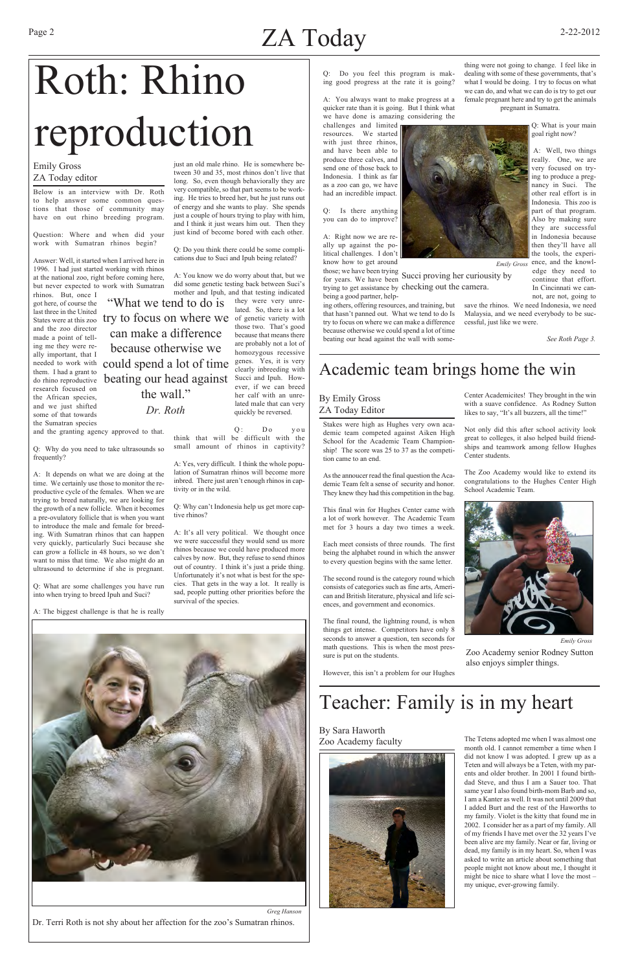Below is an interview with Dr. Roth to help answer some common questions that those of community may have on out rhino breeding program.

Question: Where and when did your work with Sumatran rhinos begin?

Answer: Well, it started when I arrived here in 1996. I had just started working with rhinos at the national zoo, right before coming here, but never expected to work with Sumatran rhinos. But, once I

got here, of course the last three in the United and the zoo director made a point of telling me they were really important, that I them. I had a grant to research focused on the African species, and we just shifted some of that towards the Sumatran species

and the granting agency approved to that.

Q: Why do you need to take ultrasounds so frequently?

A: It depends on what we are doing at the time. We certainly use those to monitor the reproductive cycle of the females. When we are trying to breed naturally, we are looking for the growth of a new follicle. When it becomes a pre-ovulatory follicle that is when you want to introduce the male and female for breeding. With Sumatran rhinos that can happen very quickly, particularly Suci because she can grow a follicle in 48 hours, so we don't want to miss that time. We also might do an ultrasound to determine if she is pregnant.

Q: Do you think that will be difficult with the small amount of rhinos in captivity?

Q: What are some challenges you have run into when trying to breed Ipuh and Suci?

A: The biggest challenge is that he is really

just an old male rhino. He is somewhere between 30 and 35, most rhinos don't live that long. So, even though behaviorally they are very compatible, so that part seems to be working. He tries to breed her, but he just runs out of energy and she wants to play. She spends just a couple of hours trying to play with him, and I think it just wears him out. Then they just kind of become bored with each other.

challenges and limited n resources. We started with just three rhinos, and have been able to produce three calves, and send one of those back to Indonesia. I think as far as a zoo can go, we have had an incredible impact.

for years. We have been Succi proving her curiousity by trying to get assistance by checking out the camera. being a good partner, help-

Q: Do you think there could be some complications due to Suci and Ipuh being related?

A: You know we do worry about that, but we did some genetic testing back between Suci's mother and Ipuh, and that testing indicated they were very unrelated. So, there is a lot those two. That's good because that means there are probably not a lot of homozygous recessive genes. Yes, it is very clearly inbreeding with Succi and Ipuh. However, if we can breed her calf with an unrelated male that can very quickly be reversed.

*Emily Gross* ence, and the knowledge they need to continue that effort. In Cincinnati we cannot, are not, going to

A: Yes, very difficult. I think the whole population of Sumatran rhinos will become more inbred. There just aren't enough rhinos in captivity or in the wild.

Q: Why can't Indonesia help us get more captive rhinos?

A: It's all very political. We thought once we were successful they would send us more rhinos because we could have produced more calves by now. But, they refuse to send rhinos out of country. I think it's just a pride thing. Unfortunately it's not what is best for the species. That gets in the way a lot. It really is sad, people putting other priorities before the survival of the species.

Q: Do you feel this program is making good progress at the rate it is going?

A: You always want to make progress at a quicker rate than it is going. But I think what we have done is amazing considering the

Q: Is there anything you can do to improve?

A: Right now we are really up against the political challenges. I don't know how to get around those; we have been trying

States were at this zoo try to focus on where we of genetic variety with needed to work with could spend a lot of time do rhino reproductive beating our head against *Dr. Roth* "What we tend to do is can make a difference because otherwise we the wall."

ing others, offering resources, and training, but that hasn't panned out. What we tend to do Is try to focus on where we can make a difference because otherwise we could spend a lot of time beating our head against the wall with some-

thing were not going to change. I feel like in dealing with some of these governments, that's what I would be doing. I try to focus on what we can do, and what we can do is try to get our female pregnant here and try to get the animals pregnant in Sumatra.

> Q: What is your main goal right now?

> A: Well, two things really. One, we are very focused on trying to produce a pregnancy in Suci. The other real effort is in Indonesia. This zoo is part of that program. Also by making sure they are successful in Indonesia because then they'll have all the tools, the experi-

save the rhinos. We need Indonesia, we need Malaysia, and we need everybody to be successful, just like we were.

 *See Roth Page 3.*



Dr. Terri Roth is not shy about her affection for the zoo's Sumatran rhinos.

#### Emily Gross ZA Today editor

Stakes were high as Hughes very own academic team competed against Aiken High School for the Academic Team Championship! The score was 25 to 37 as the competition came to an end.

As the annoucer read the final question the Academic Team felt a sense of security and honor. They knew they had this competition in the bag.

This final win for Hughes Center came with a lot of work however. The Academic Team met for 3 hours a day two times a week.

Each meet consists of three rounds. The first being the alphabet round in which the answer to every question begins with the same letter.

The second round is the category round which consists of categories such as fine arts, American and British literature, physical and life sciences, and government and economics.

The final round, the lightning round, is when things get intense. Competitors have only 8 seconds to answer a question, ten seconds for math questions. This is when the most pressure is put on the students.

However, this isn't a problem for our Hughes

Center Academicites! They brought in the win with a suave confidence. As Rodney Sutton likes to say, "It's all buzzers, all the time!"

Not only did this after school activity look great to colleges, it also helped build friendships and teamwork among fellow Hughes Center students.

The Zoo Academy would like to extend its congratulations to the Hughes Center High School Academic Team.

The Tetens adopted me when I was almost one month old. I cannot remember a time when I did not know I was adopted. I grew up as a Teten and will always be a Teten, with my parents and older brother. In 2001 I found birthdad Steve, and thus I am a Sauer too. That same year I also found birth-mom Barb and so, I am a Kanter as well. It was not until 2009 that I added Burt and the rest of the Haworths to my family. Violet is the kitty that found me in 2002. I consider her as a part of my family. All of my friends I have met over the 32 years I've been alive are my family. Near or far, living or dead, my family is in my heart. So, when I was asked to write an article about something that people might not know about me, I thought it might be nice to share what I love the most – my unique, ever-growing family.

### Academic team brings home the win



Teacher: Family is in my heart

#### By Sara Haworth Zoo Academy faculty





*Emily Gross* Zoo Academy senior Rodney Sutton also enjoys simpler things.



### Page 2 2-22-2012  $ZA$  Today 2-22-2012

## Roth: Rhino reproduction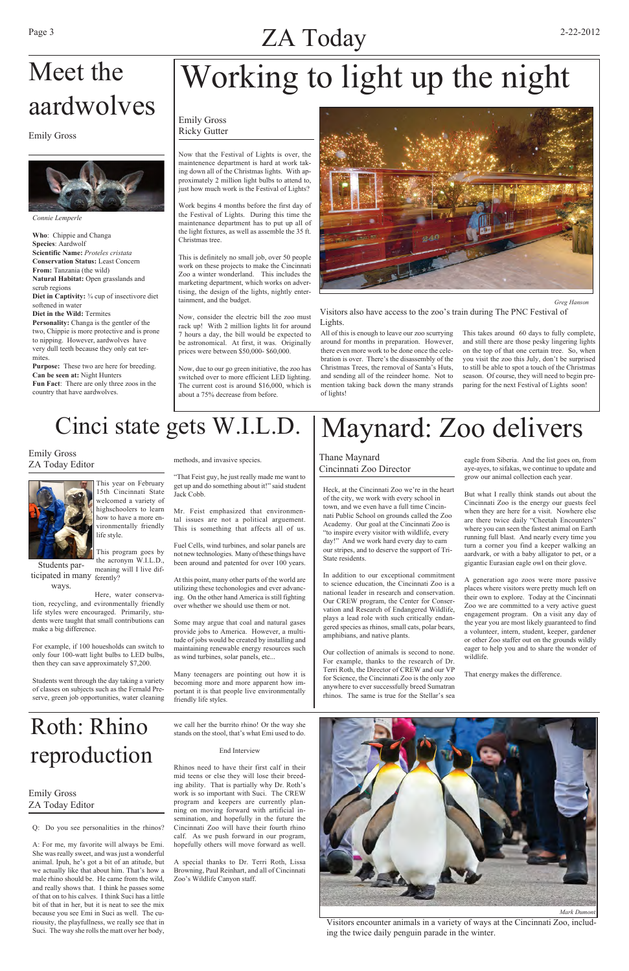### Page 3 2-22-2012  $ZA$  Today  $^{2-22-2012}$

Now that the Festival of Lights is over, the maintenence department is hard at work taking down all of the Christmas lights. With approximately 2 million light bulbs to attend to, just how much work is the Festival of Lights?

Work begins 4 months before the first day of the Festival of Lights. During this time the maintenance department has to put up all of the light fixtures, as well as assemble the 35 ft. Christmas tree.

This is definitely no small job, over 50 people work on these projects to make the Cincinnati Zoo a winter wonderland. This includes the marketing department, which works on advertising, the design of the lights, nightly entertainment, and the budget.

Now, consider the electric bill the zoo must rack up! With 2 million lights lit for around 7 hours a day, the bill would be expected to be astronomical. At first, it was. Originally prices were between \$50,000- \$60,000.

Now, due to our go green initiative, the zoo has switched over to more efficient LED lighting. The current cost is around \$16,000, which is about a 75% decrease from before.



All of this is enough to leave our zoo scurrying around for months in preparation. However, there even more work to be done once the celebration is over. There's the disassembly of the Christmas Trees, the removal of Santa's Huts, and sending all of the reindeer home. Not to mention taking back down the many strands of lights!

This takes around 60 days to fully complete, and still there are those pesky lingering lights on the top of that one certain tree. So, when you visit the zoo this July, don't be surprised to still be able to spot a touch of the Christmas season. Of course, they will need to begin preparing for the next Festival of Lights soon!

*Connie Lemperle*

**Who**: Chippie and Changa **Species**: Aardwolf **Scientific Name:** *Proteles cristata* **Conservation Status:** Least Concern **From:** Tanzania (the wild) **Natural Habitat:** Open grasslands and scrub regions **Diet in Captivity:** ¾ cup of insectivore diet softened in water **Diet in the Wild:** Termites **Personality:** Changa is the gentler of the two, Chippie is more protective and is prone to nipping. However, aardwolves have very dull teeth because they only eat termites.

**Purpose:** These two are here for breeding. **Can be seen at:** Night Hunters **Fun Fact**: There are only three zoos in the country that have aardwolves.

> This year on February 15th Cincinnati State welcomed a variety of highschoolers to learn how to have a more environmentally friendly life style.

life styles were encouraged. Primarily, students were taught that small contributions can make a big difference.

For example, if 100 houesholds can switch to only four 100-watt light bulbs to LED bulbs, then they can save approximately \$7,200.

Students went through the day taking a variety of classes on subjects such as the Fernald Preserve, green job opportunities, water cleaning methods, and invasive species.

"That Feist guy, he just really made me want to get up and do something about it!" said student Jack Cobb.

Mr. Feist emphasized that environmental issues are not a political arguement. This is something that affects all of us.

Fuel Cells, wind turbines, and solar panels are not new technologies. Many of these things have been around and patented for over 100 years.

At this point, many other parts of the world are utilizing these techonologies and ever advancing. On the other hand America is still fighting over whether we should use them or not.

Some may argue that coal and natural gases provide jobs to America. However, a multitude of jobs would be created by installing and maintaining renewable energy resources such as wind turbines, solar panels, etc...

Many teenagers are pointing out how it is becoming more and more apparent how important it is that people live environmentally friendly life styles.

*Greg Hanson*

Visitors also have access to the zoo's train during The PNC Festival of Lights.

### Meet the aardwolves

Emily Gross Ricky Gutter



### Emily Gross

## Working to light up the night

#### Emily Gross ZA Today Editor



### Cinci state gets W.I.L.D.

This program goes by the acronym W.I.L.D., meaning will I live difticipated in many ferently? Students parHeck, at the Cincinnati Zoo we're in the heart of the city, we work with every school in town, and we even have a full time Cincinnati Public School on grounds called the Zoo Academy. Our goal at the Cincinnati Zoo is "to inspire every visitor with wildlife, every day!" And we work hard every day to earn our stripes, and to deserve the support of Tri-State residents.

Here, water conservation, recycling, and evironmentally friendly ways.

In addition to our exceptional commitment to science education, the Cincinnati Zoo is a national leader in research and conservation. Our CREW program, the Center for Conservation and Research of Endangered Wildlife, plays a lead role with such critically endangered species as rhinos, small cats, polar bears, amphibians, and native plants.

Our collection of animals is second to none. For example, thanks to the research of Dr. Terri Roth, the Director of CREW and our VP for Science, the Cincinnati Zoo is the only zoo anywhere to ever successfully breed Sumatran rhinos. The same is true for the Stellar's sea

eagle from Siberia. And the list goes on, from aye-ayes, to sifakas, we continue to update and grow our animal collection each year.

But what I really think stands out about the Cincinnati Zoo is the energy our guests feel when they are here for a visit. Nowhere else are there twice daily "Cheetah Encounters" where you can seen the fastest animal on Earth running full blast. And nearly every time you turn a corner you find a keeper walking an aardvark, or with a baby alligator to pet, or a gigantic Eurasian eagle owl on their glove.

A generation ago zoos were more passive places where visitors were pretty much left on their own to explore. Today at the Cincinnati Zoo we are committed to a very active guest engagement program. On a visit any day of the year you are most likely guaranteed to find a volunteer, intern, student, keeper, gardener or other Zoo staffer out on the grounds wildly eager to help you and to share the wonder of wildlife.

That energy makes the difference.

#### Thane Maynard Cincinnati Zoo Director

### Maynard: Zoo delivers

Q: Do you see personalities in the rhinos?

A: For me, my favorite will always be Emi. She was really sweet, and was just a wonderful animal. Ipuh, he's got a bit of an atitude, but we actually like that about him. That's how a male rhino should be. He came from the wild, and really shows that. I think he passes some of that on to his calves. I think Suci has a little bit of that in her, but it is neat to see the mix because you see Emi in Suci as well. The curiousity, the playfullness, we really see that in Suci. The way she rolls the matt over her body, we call her the burrito rhino! Or the way she stands on the stool, that's what Emi used to do.

#### End Interview

Rhinos need to have their first calf in their mid teens or else they will lose their breeding ability. That is partially why Dr. Roth's work is so important with Suci. The CREW program and keepers are currently planning on moving forward with artificial insemination, and hopefully in the future the Cincinnati Zoo will have their fourth rhino calf. As we push forward in our program, hopefully others will move forward as well.

A special thanks to Dr. Terri Roth, Lissa Browning, Paul Reinhart, and all of Cincinnati Zoo's Wildlife Canyon staff.



Visitors encounter animals in a variety of ways at the Cincinnati Zoo, including the twice daily penguin parade in the winter.

Emily Gross ZA Today Editor

### Roth: Rhino reproduction